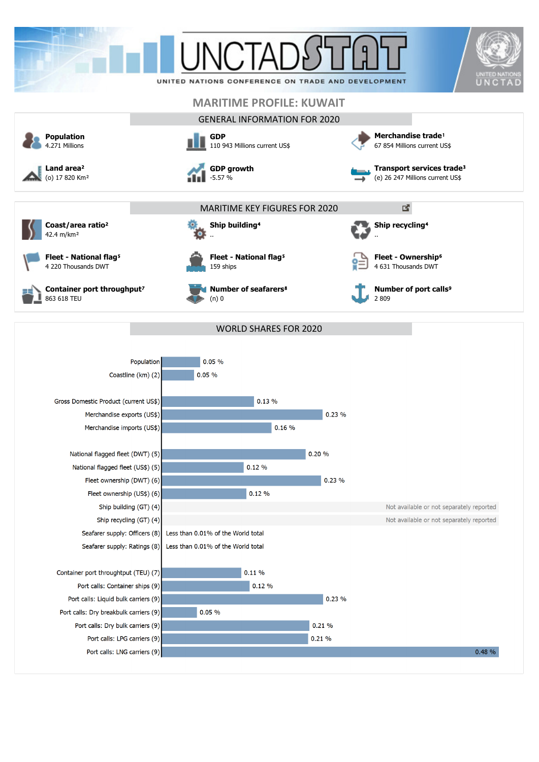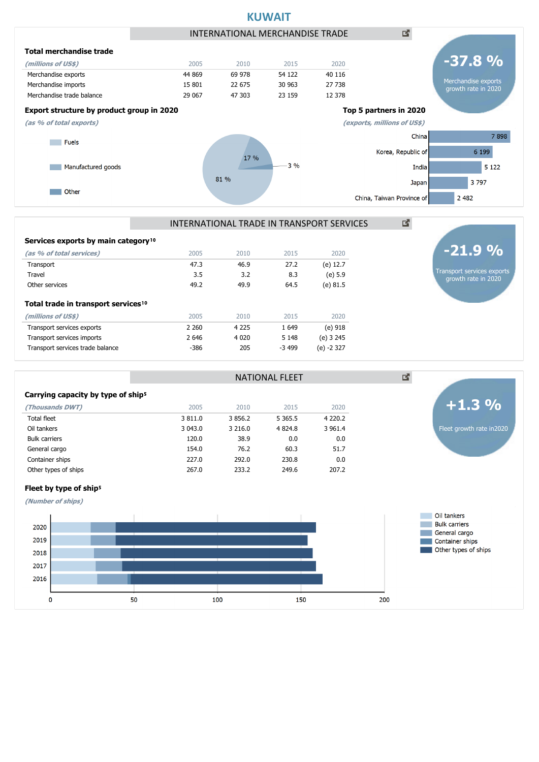

## INTERNATIONAL TRADE IN TRANSPORT SERVICES

NATIONAL FLEET

| Services exports by main category <sup>10</sup> |         |         |         |            |
|-------------------------------------------------|---------|---------|---------|------------|
| (as % of total services)                        | 2005    | 2010    | 2015    | 2020       |
| Transport                                       | 47.3    | 46.9    | 27.2    | (e) 12.7   |
| Travel                                          | 3.5     | 3.2     | 8.3     | (e) 5.9    |
| Other services                                  | 49.2    | 49.9    | 64.5    | (e) 81.5   |
| Total trade in transport services <sup>10</sup> |         |         |         |            |
| (millions of US\$)                              | 2005    | 2010    | 2015    | 2020       |
| Transport services exports                      | 2 2 6 0 | 4 2 2 5 | 1 6 4 9 | (e) 918    |
| Transport services imports                      | 2 6 4 6 | 4 0 2 0 | 5 1 4 8 | (e) 3 245  |
| Transport services trade balance                | $-386$  | 205     | $-3499$ | (e) -2 327 |
|                                                 |         |         |         |            |

#### Carrying capacity by type of ship<sup>5</sup>

Fleet by type of ship<sup>5</sup> **(Number of ships)**

2020

2019

2018 2017 2016

 $\mathbf{o}$ 

| 2005    | 2010       | 2015        | 2020      |
|---------|------------|-------------|-----------|
| 3 811.0 | 3 8 5 6.2  | 5 3 6 5 . 5 | 4 2 2 0.2 |
| 3 043.0 | 3 2 1 6 .0 | 4 8 2 4 . 8 | 3 961.4   |
| 120.0   | 38.9       | 0.0         | 0.0       |
| 154.0   | 76.2       | 60.3        | 51.7      |
| 227.0   | 292.0      | 230.8       | 0.0       |
| 267.0   | 233.2      | 249.6       | 207.2     |
|         |            |             |           |

# Oil tankers **Bulk carriers** General cargo



Transport services exports growth rate in 2020

**-21.9 %**



図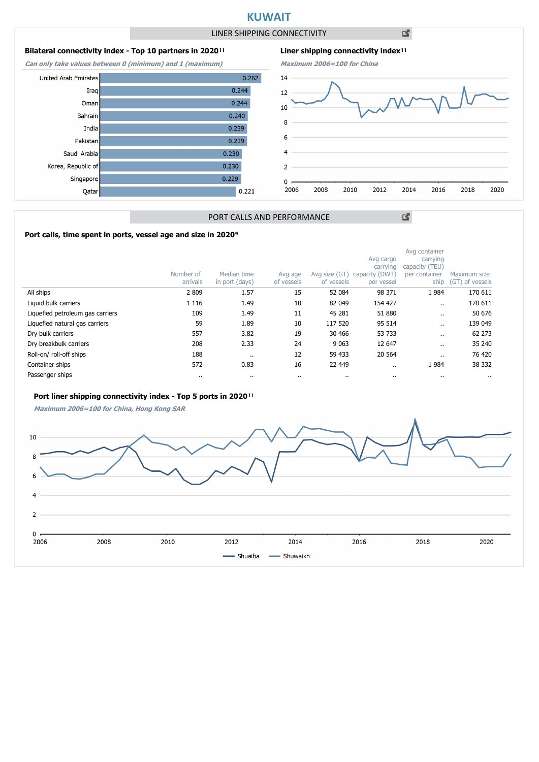# **KUWAIT**

LINER SHIPPING CONNECTIVITY

凶

#### **Bilateral connectivity index - Top 10 partners in 2020**<sup>11</sup>

**Can only take values between 0 (minimum) and 1 (maximum)**





図

## PORT CALLS AND PERFORMANCE

#### Port calls, time spent in ports, vessel age and size in 2020<sup>9</sup>

|                                  | Number of<br>arrivals | Median time<br>in port (days) | Avg age<br>of vessels | Avg size (GT)<br>of vessels | Avg cargo<br>carrying<br>capacity (DWT)<br>per vessel | Avg container<br>carrying<br>capacity (TEU)<br>per container<br>ship | Maximum size<br>(GT) of vessels |
|----------------------------------|-----------------------|-------------------------------|-----------------------|-----------------------------|-------------------------------------------------------|----------------------------------------------------------------------|---------------------------------|
| All ships                        | 2 8 0 9               | 1.57                          | 15                    | 52 084                      | 98 371                                                | 1984                                                                 | 170 611                         |
| Liquid bulk carriers             | 1 1 1 6               | 1.49                          | 10                    | 82 049                      | 154 427                                               |                                                                      | 170 611                         |
| Liquefied petroleum gas carriers | 109                   | 1.49                          | 11                    | 45 281                      | 51 880                                                | $\cdot$ .                                                            | 50 676                          |
| Liquefied natural gas carriers   | 59                    | 1.89                          | 10                    | 117 520                     | 95 514                                                | $\cdot$ .                                                            | 139 049                         |
| Dry bulk carriers                | 557                   | 3.82                          | 19                    | 30 466                      | 53 733                                                | $\cdot$ .                                                            | 62 273                          |
| Dry breakbulk carriers           | 208                   | 2.33                          | 24                    | 9 0 63                      | 12 647                                                | $\ddot{\phantom{0}}$                                                 | 35 240                          |
| Roll-on/roll-off ships           | 188                   |                               | 12                    | 59 433                      | 20 5 64                                               | $\cdot$ .                                                            | 76 420                          |
| Container ships                  | 572                   | 0.83                          | 16                    | 22 449                      |                                                       | 1984                                                                 | 38 332                          |
| Passenger ships                  | $\cdots$              |                               | $\cdot$               | $\cdots$                    | $\cdots$                                              | $\cdot$ .                                                            |                                 |

#### Port liner shipping connectivity index - Top 5 ports in 2020<sup>11</sup>

**Maximum 2006=100 for China, Hong Kong SAR**